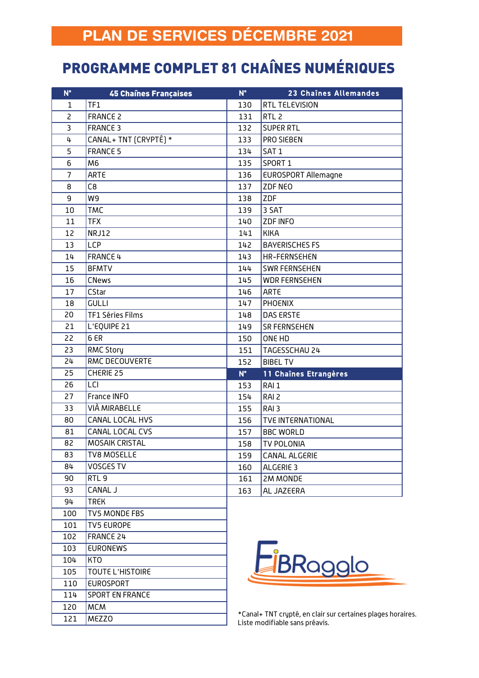## PROGRAMME COMPLET 81 CHAÎNES NUMÉRIQUES

| $N^{\circ}$    | <b>45 Chaînes Françaises</b> | $N^{\circ}$ | 23 Chaînes Allemandes      |
|----------------|------------------------------|-------------|----------------------------|
| 1              | TF1                          | 130         | RTL TELEVISION             |
| $\overline{c}$ | <b>FRANCE 2</b>              | 131         | RTL <sub>2</sub>           |
| 3              | <b>FRANCE 3</b>              | 132         | <b>SUPER RTL</b>           |
| 4              | CANAL+ TNT (CRYPTÉ) *        | 133         | PRO SIEBEN                 |
| 5              | <b>FRANCE 5</b>              | 134         | SAT <sub>1</sub>           |
| 6              | M <sub>6</sub>               | 135         | SPORT 1                    |
| $\overline{7}$ | ARTE                         | 136         | <b>EUROSPORT Allemagne</b> |
| 8              | C8                           | 137         | ZDF NEO                    |
| 9              | W9                           | 138         | ZDF                        |
| 10             | <b>TMC</b>                   | 139         | 3 SAT                      |
| 11             | <b>TFX</b>                   | 140         | ZDF INFO                   |
| 12             | NRJ12                        | 141         | <b>KIKA</b>                |
| 13             | <b>LCP</b>                   | 142         | <b>BAYERISCHES FS</b>      |
| 14             | FRANCE 4                     | 143         | HR-FERNSEHEN               |
| 15             | <b>BFMTV</b>                 | 144         | <b>SWR FERNSEHEN</b>       |
| 16             | <b>CNews</b>                 | 145         | <b>WDR FERNSEHEN</b>       |
| 17             | CStar                        | 146         | ARTE                       |
| 18             | <b>GULLI</b>                 | 147         | <b>PHOENIX</b>             |
| 20             | TF1 Séries Films             | 148         | DAS ERSTE                  |
| 21             | L'EQUIPE 21                  | 149         | <b>SR FERNSEHEN</b>        |
| 22             | 6 ER                         | 150         | ONE HD                     |
| 23             | <b>RMC Story</b>             | 151         | TAGESSCHAU 24              |
| 24             | RMC DECOUVERTE               | 152         | <b>BIBEL TV</b>            |
| 25             | CHERIE 25                    | $N^{\circ}$ | 11 Chaînes Etrangères      |
| 26             | LCI                          | 153         | RAI <sub>1</sub>           |
| 27             | France INFO                  | 154         | RAI <sub>2</sub>           |
| 33             | VIÀ MIRABELLE                | 155         | RAI <sub>3</sub>           |
| 80             | CANAL LOCAL HVS              | 156         | <b>TVE INTERNATIONAL</b>   |
| 81             | CANAL LOCAL CVS              | 157         | <b>BBC WORLD</b>           |
| 82             | <b>MOSAIK CRISTAL</b>        | 158         | <b>TV POLONIA</b>          |
| 83             | <b>TV8 MOSELLE</b>           | 159         | CANAL ALGERIE              |
| 84             | <b>VOSGES TV</b>             | 160         | ALGERIE 3                  |
| 90             | RTL <sub>9</sub>             | 161         | 2M MONDE                   |
| 93             | CANAL J                      | 163         | AL JAZEERA                 |
| 94             | <b>TREK</b>                  |             |                            |
| 100            | TV5 MONDE FBS                |             |                            |
| 101            | <b>TV5 EUROPE</b>            |             |                            |
| 102            | FRANCE 24                    |             |                            |
| 103            | <b>EURONEWS</b>              |             |                            |
| 104            | <b>KTO</b>                   |             | <b>LiBRagglo</b>           |
| 105            | <b>TOUTE L'HISTOIRE</b>      |             |                            |
| 110            | <b>EUROSPORT</b>             |             |                            |
| 114            | <b>SPORT EN FRANCE</b>       |             |                            |
| 120            | <b>MCM</b>                   |             |                            |

MEZZO

\*Canal+ TNT crypté, en clair sur certaines plages horaires. Liste modifiable sans préavis.